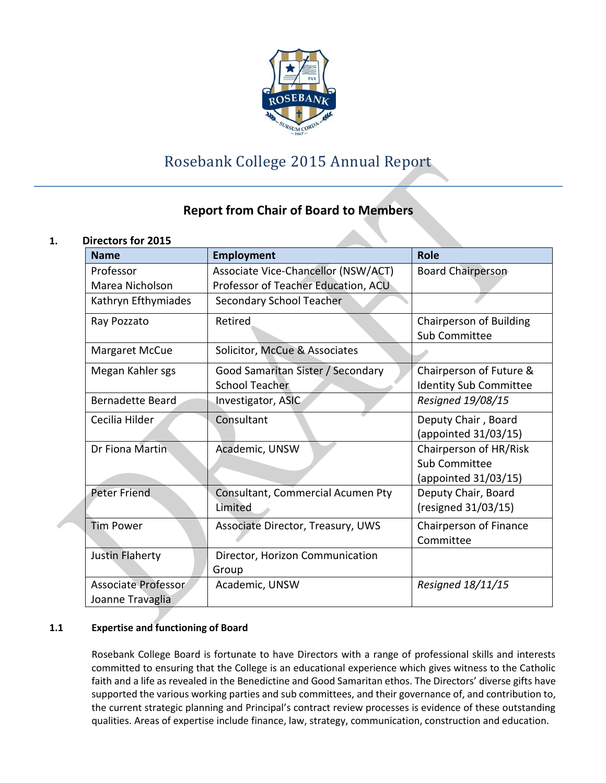

# Rosebank College 2015 Annual Report

# **Report from Chair of Board to Members**

# **1. Directors for 2015**

| <b>Name</b>                                    | <b>Employment</b>                                          | Role                                                            |
|------------------------------------------------|------------------------------------------------------------|-----------------------------------------------------------------|
| Professor                                      | Associate Vice-Chancellor (NSW/ACT)                        | <b>Board Chairperson</b>                                        |
| Marea Nicholson                                | Professor of Teacher Education, ACU                        |                                                                 |
| Kathryn Efthymiades                            | Secondary School Teacher                                   |                                                                 |
| Ray Pozzato                                    | Retired                                                    | Chairperson of Building<br>Sub Committee                        |
| <b>Margaret McCue</b>                          | Solicitor, McCue & Associates                              |                                                                 |
| Megan Kahler sgs                               | Good Samaritan Sister / Secondary<br><b>School Teacher</b> | Chairperson of Future &<br><b>Identity Sub Committee</b>        |
| <b>Bernadette Beard</b>                        | Investigator, ASIC                                         | Resigned 19/08/15                                               |
| Cecilia Hilder                                 | Consultant                                                 | Deputy Chair, Board<br>(appointed 31/03/15)                     |
| Dr Fiona Martin                                | Academic, UNSW                                             | Chairperson of HR/Risk<br>Sub Committee<br>(appointed 31/03/15) |
| Peter Friend                                   | Consultant, Commercial Acumen Pty<br>Limited               | Deputy Chair, Board<br>(resigned 31/03/15)                      |
| <b>Tim Power</b>                               | Associate Director, Treasury, UWS                          | Chairperson of Finance<br>Committee                             |
| Justin Flaherty                                | Director, Horizon Communication<br>Group                   |                                                                 |
| <b>Associate Professor</b><br>Joanne Travaglia | Academic, UNSW                                             | Resigned 18/11/15                                               |

# **1.1 Expertise and functioning of Board**

Rosebank College Board is fortunate to have Directors with a range of professional skills and interests committed to ensuring that the College is an educational experience which gives witness to the Catholic faith and a life as revealed in the Benedictine and Good Samaritan ethos. The Directors' diverse gifts have supported the various working parties and sub committees, and their governance of, and contribution to, the current strategic planning and Principal's contract review processes is evidence of these outstanding qualities. Areas of expertise include finance, law, strategy, communication, construction and education.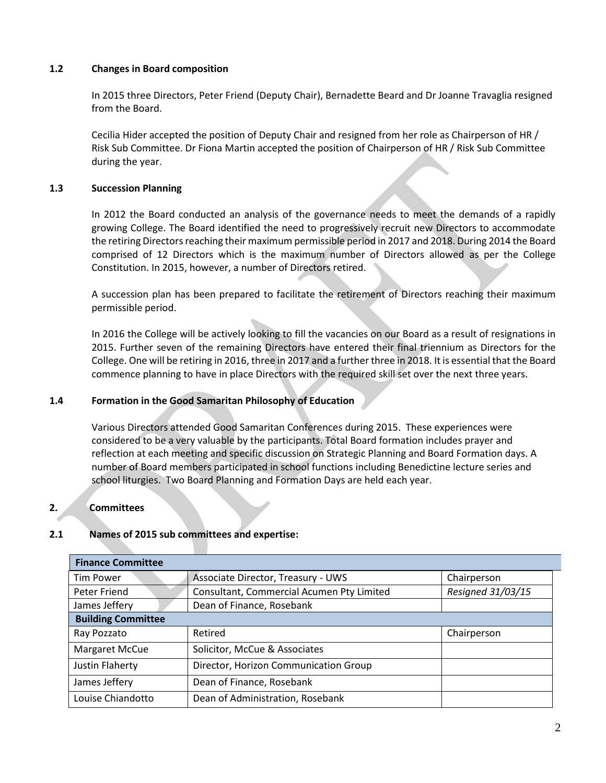# **1.2 Changes in Board composition**

In 2015 three Directors, Peter Friend (Deputy Chair), Bernadette Beard and Dr Joanne Travaglia resigned from the Board.

Cecilia Hider accepted the position of Deputy Chair and resigned from her role as Chairperson of HR / Risk Sub Committee. Dr Fiona Martin accepted the position of Chairperson of HR / Risk Sub Committee during the year.

## **1.3 Succession Planning**

In 2012 the Board conducted an analysis of the governance needs to meet the demands of a rapidly growing College. The Board identified the need to progressively recruit new Directors to accommodate the retiring Directors reaching their maximum permissible period in 2017 and 2018. During 2014 the Board comprised of 12 Directors which is the maximum number of Directors allowed as per the College Constitution. In 2015, however, a number of Directors retired.

A succession plan has been prepared to facilitate the retirement of Directors reaching their maximum permissible period.

In 2016 the College will be actively looking to fill the vacancies on our Board as a result of resignations in 2015. Further seven of the remaining Directors have entered their final triennium as Directors for the College. One will be retiring in 2016, three in 2017 and a further three in 2018. It is essential that the Board commence planning to have in place Directors with the required skill set over the next three years.

#### **1.4 Formation in the Good Samaritan Philosophy of Education**

Various Directors attended Good Samaritan Conferences during 2015. These experiences were considered to be a very valuable by the participants. Total Board formation includes prayer and reflection at each meeting and specific discussion on Strategic Planning and Board Formation days. A number of Board members participated in school functions including Benedictine lecture series and school liturgies. Two Board Planning and Formation Days are held each year.

#### **2. Committees**

#### **2.1 Names of 2015 sub committees and expertise:**

| <b>Finance Committee</b>  |                                           |                   |  |  |  |  |  |  |
|---------------------------|-------------------------------------------|-------------------|--|--|--|--|--|--|
| <b>Tim Power</b>          | Associate Director, Treasury - UWS        | Chairperson       |  |  |  |  |  |  |
| Peter Friend              | Consultant, Commercial Acumen Pty Limited | Resigned 31/03/15 |  |  |  |  |  |  |
| James Jeffery             | Dean of Finance, Rosebank                 |                   |  |  |  |  |  |  |
| <b>Building Committee</b> |                                           |                   |  |  |  |  |  |  |
| Ray Pozzato               | Retired                                   | Chairperson       |  |  |  |  |  |  |
| <b>Margaret McCue</b>     | Solicitor, McCue & Associates             |                   |  |  |  |  |  |  |
| Justin Flaherty           | Director, Horizon Communication Group     |                   |  |  |  |  |  |  |
| James Jeffery             | Dean of Finance, Rosebank                 |                   |  |  |  |  |  |  |
| Louise Chiandotto         | Dean of Administration, Rosebank          |                   |  |  |  |  |  |  |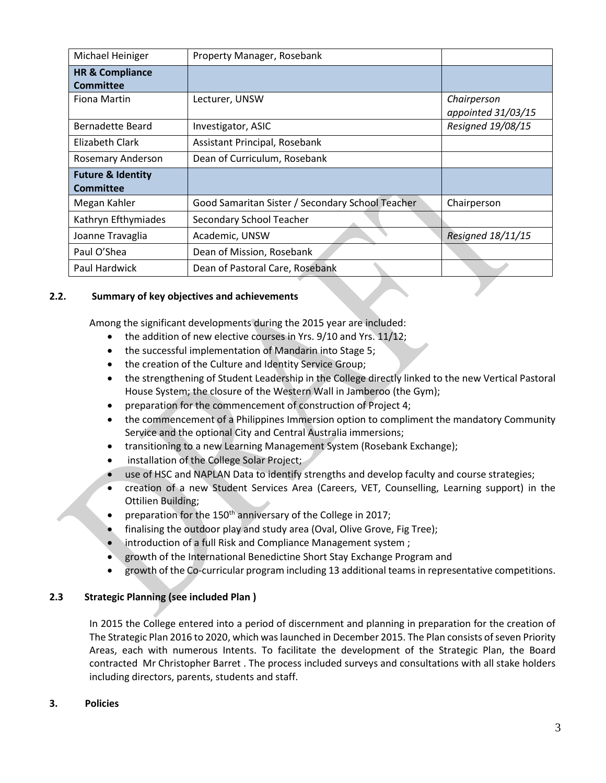| Michael Heiniger                                 | Property Manager, Rosebank                       |                                   |
|--------------------------------------------------|--------------------------------------------------|-----------------------------------|
| <b>HR &amp; Compliance</b><br><b>Committee</b>   |                                                  |                                   |
| Fiona Martin                                     | Lecturer, UNSW                                   | Chairperson<br>appointed 31/03/15 |
| Bernadette Beard                                 | Investigator, ASIC                               | Resigned 19/08/15                 |
| Elizabeth Clark                                  | Assistant Principal, Rosebank                    |                                   |
| Rosemary Anderson                                | Dean of Curriculum, Rosebank                     |                                   |
| <b>Future &amp; Identity</b><br><b>Committee</b> |                                                  |                                   |
| Megan Kahler                                     | Good Samaritan Sister / Secondary School Teacher | Chairperson                       |
| Kathryn Efthymiades                              | Secondary School Teacher                         |                                   |
| Joanne Travaglia                                 | Academic, UNSW                                   | Resigned 18/11/15                 |
| Paul O'Shea                                      | Dean of Mission, Rosebank                        |                                   |
| Paul Hardwick                                    | Dean of Pastoral Care, Rosebank                  |                                   |

# **2.2. Summary of key objectives and achievements**

Among the significant developments during the 2015 year are included:

- $\bullet$  the addition of new elective courses in Yrs. 9/10 and Yrs. 11/12;
- the successful implementation of Mandarin into Stage 5;
- the creation of the Culture and Identity Service Group;
- the strengthening of Student Leadership in the College directly linked to the new Vertical Pastoral House System; the closure of the Western Wall in Jamberoo (the Gym);
- **•** preparation for the commencement of construction of Project 4;
- the commencement of a Philippines Immersion option to compliment the mandatory Community Service and the optional City and Central Australia immersions;
- transitioning to a new Learning Management System (Rosebank Exchange);
- **•** installation of the College Solar Project;
- use of HSC and NAPLAN Data to identify strengths and develop faculty and course strategies;
- creation of a new Student Services Area (Careers, VET, Counselling, Learning support) in the Ottilien Building;
- preparation for the  $150<sup>th</sup>$  anniversary of the College in 2017;
- finalising the outdoor play and study area (Oval, Olive Grove, Fig Tree);
- introduction of a full Risk and Compliance Management system ;
- growth of the International Benedictine Short Stay Exchange Program and
- growth of the Co-curricular program including 13 additional teams in representative competitions.

#### **2.3 Strategic Planning (see included Plan )**

In 2015 the College entered into a period of discernment and planning in preparation for the creation of The Strategic Plan 2016 to 2020, which was launched in December 2015. The Plan consists of seven Priority Areas, each with numerous Intents. To facilitate the development of the Strategic Plan, the Board contracted Mr Christopher Barret . The process included surveys and consultations with all stake holders including directors, parents, students and staff.

#### **3. Policies**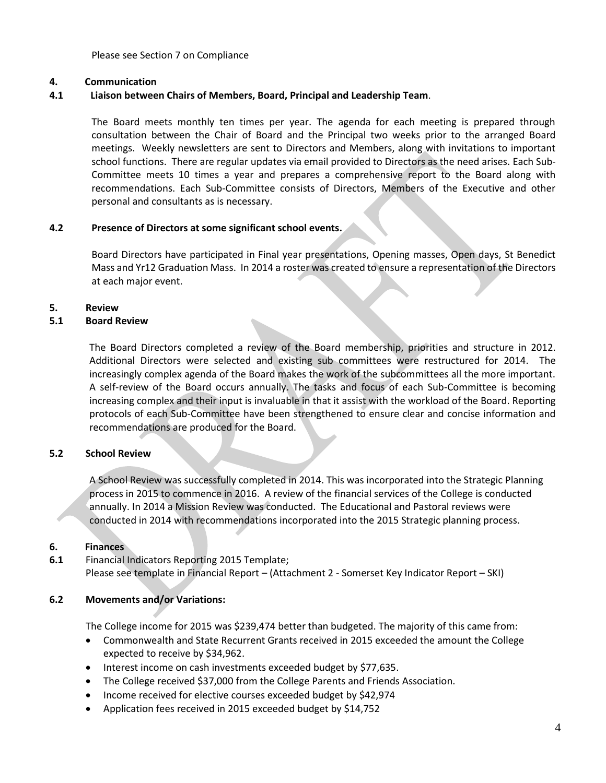Please see Section 7 on Compliance

#### **4. Communication**

# **4.1 Liaison between Chairs of Members, Board, Principal and Leadership Team**.

The Board meets monthly ten times per year. The agenda for each meeting is prepared through consultation between the Chair of Board and the Principal two weeks prior to the arranged Board meetings. Weekly newsletters are sent to Directors and Members, along with invitations to important school functions. There are regular updates via email provided to Directors as the need arises. Each Sub-Committee meets 10 times a year and prepares a comprehensive report to the Board along with recommendations. Each Sub-Committee consists of Directors, Members of the Executive and other personal and consultants as is necessary.

#### **4.2 Presence of Directors at some significant school events.**

Board Directors have participated in Final year presentations, Opening masses, Open days, St Benedict Mass and Yr12 Graduation Mass. In 2014 a roster was created to ensure a representation of the Directors at each major event.

#### **5. Review**

#### **5.1 Board Review**

The Board Directors completed a review of the Board membership, priorities and structure in 2012. Additional Directors were selected and existing sub committees were restructured for 2014. The increasingly complex agenda of the Board makes the work of the subcommittees all the more important. A self-review of the Board occurs annually. The tasks and focus of each Sub-Committee is becoming increasing complex and their input is invaluable in that it assist with the workload of the Board. Reporting protocols of each Sub-Committee have been strengthened to ensure clear and concise information and recommendations are produced for the Board.

#### **5.2 School Review**

A School Review was successfully completed in 2014. This was incorporated into the Strategic Planning process in 2015 to commence in 2016. A review of the financial services of the College is conducted annually. In 2014 a Mission Review was conducted. The Educational and Pastoral reviews were conducted in 2014 with recommendations incorporated into the 2015 Strategic planning process.

#### **6. Finances**

**6.1** Financial Indicators Reporting 2015 Template; Please see template in Financial Report – (Attachment 2 - Somerset Key Indicator Report – SKI)

#### **6.2 Movements and/or Variations:**

The College income for 2015 was \$239,474 better than budgeted. The majority of this came from:

- Commonwealth and State Recurrent Grants received in 2015 exceeded the amount the College expected to receive by \$34,962.
- Interest income on cash investments exceeded budget by \$77,635.
- The College received \$37,000 from the College Parents and Friends Association.
- Income received for elective courses exceeded budget by \$42,974
- Application fees received in 2015 exceeded budget by \$14,752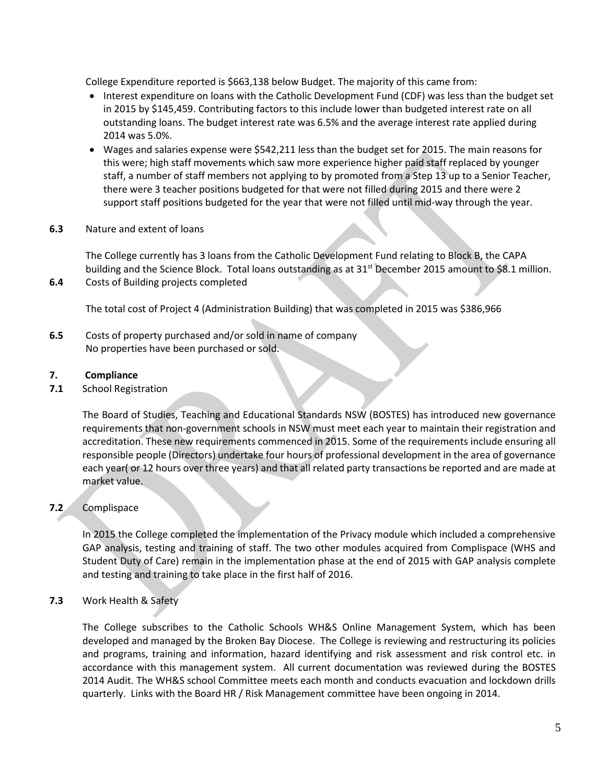College Expenditure reported is \$663,138 below Budget. The majority of this came from:

- Interest expenditure on loans with the Catholic Development Fund (CDF) was less than the budget set in 2015 by \$145,459. Contributing factors to this include lower than budgeted interest rate on all outstanding loans. The budget interest rate was 6.5% and the average interest rate applied during 2014 was 5.0%.
- Wages and salaries expense were \$542,211 less than the budget set for 2015. The main reasons for this were; high staff movements which saw more experience higher paid staff replaced by younger staff, a number of staff members not applying to by promoted from a Step 13 up to a Senior Teacher, there were 3 teacher positions budgeted for that were not filled during 2015 and there were 2 support staff positions budgeted for the year that were not filled until mid-way through the year.
- **6.3** Nature and extent of loans

The College currently has 3 loans from the Catholic Development Fund relating to Block B, the CAPA building and the Science Block. Total loans outstanding as at 31<sup>st</sup> December 2015 amount to \$8.1 million. **6.4** Costs of Building projects completed

The total cost of Project 4 (Administration Building) that was completed in 2015 was \$386,966

**6.5** Costs of property purchased and/or sold in name of company No properties have been purchased or sold.

## **7. Compliance**

**7.1** School Registration

The Board of Studies, Teaching and Educational Standards NSW (BOSTES) has introduced new governance requirements that non-government schools in NSW must meet each year to maintain their registration and accreditation. These new requirements commenced in 2015. Some of the requirements include ensuring all responsible people (Directors) undertake four hours of professional development in the area of governance each year( or 12 hours over three years) and that all related party transactions be reported and are made at market value.

# **7.2** Complispace

In 2015 the College completed the implementation of the Privacy module which included a comprehensive GAP analysis, testing and training of staff. The two other modules acquired from Complispace (WHS and Student Duty of Care) remain in the implementation phase at the end of 2015 with GAP analysis complete and testing and training to take place in the first half of 2016.

#### **7.3** Work Health & Safety

The College subscribes to the Catholic Schools WH&S Online Management System, which has been developed and managed by the Broken Bay Diocese. The College is reviewing and restructuring its policies and programs, training and information, hazard identifying and risk assessment and risk control etc. in accordance with this management system. All current documentation was reviewed during the BOSTES 2014 Audit. The WH&S school Committee meets each month and conducts evacuation and lockdown drills quarterly. Links with the Board HR / Risk Management committee have been ongoing in 2014.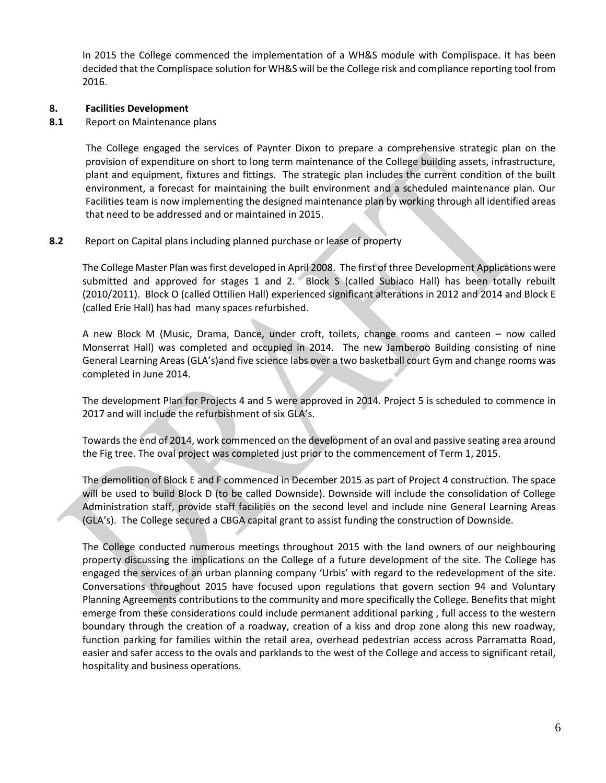In 2015 the College commenced the implementation of a WH&S module with Complispace. It has been decided that the Complispace solution for WH&S will be the College risk and compliance reporting tool from 2016.

#### **8. Facilities Development**

**8.1** Report on Maintenance plans

The College engaged the services of Paynter Dixon to prepare a comprehensive strategic plan on the provision of expenditure on short to long term maintenance of the College building assets, infrastructure, plant and equipment, fixtures and fittings. The strategic plan includes the current condition of the built environment, a forecast for maintaining the built environment and a scheduled maintenance plan. Our Facilities team is now implementing the designed maintenance plan by working through all identified areas that need to be addressed and or maintained in 2015.

## **8.2** Report on Capital plans including planned purchase or lease of property

The College Master Plan was first developed in April 2008. The first of three Development Applications were submitted and approved for stages 1 and 2. Block S (called Subiaco Hall) has been totally rebuilt (2010/2011). Block O (called Ottilien Hall) experienced significant alterations in 2012 and 2014 and Block E (called Erie Hall) has had many spaces refurbished.

A new Block M (Music, Drama, Dance, under croft, toilets, change rooms and canteen – now called Monserrat Hall) was completed and occupied in 2014. The new Jamberoo Building consisting of nine General Learning Areas (GLA's)and five science labs over a two basketball court Gym and change rooms was completed in June 2014.

The development Plan for Projects 4 and 5 were approved in 2014. Project 5 is scheduled to commence in 2017 and will include the refurbishment of six GLA's.

Towards the end of 2014, work commenced on the development of an oval and passive seating area around the Fig tree. The oval project was completed just prior to the commencement of Term 1, 2015.

The demolition of Block E and F commenced in December 2015 as part of Project 4 construction. The space will be used to build Block D (to be called Downside). Downside will include the consolidation of College Administration staff, provide staff facilities on the second level and include nine General Learning Areas (GLA's). The College secured a CBGA capital grant to assist funding the construction of Downside.

The College conducted numerous meetings throughout 2015 with the land owners of our neighbouring property discussing the implications on the College of a future development of the site. The College has engaged the services of an urban planning company 'Urbis' with regard to the redevelopment of the site. Conversations throughout 2015 have focused upon regulations that govern section 94 and Voluntary Planning Agreements contributions to the community and more specifically the College. Benefits that might emerge from these considerations could include permanent additional parking , full access to the western boundary through the creation of a roadway, creation of a kiss and drop zone along this new roadway, function parking for families within the retail area, overhead pedestrian access across Parramatta Road, easier and safer access to the ovals and parklands to the west of the College and access to significant retail, hospitality and business operations.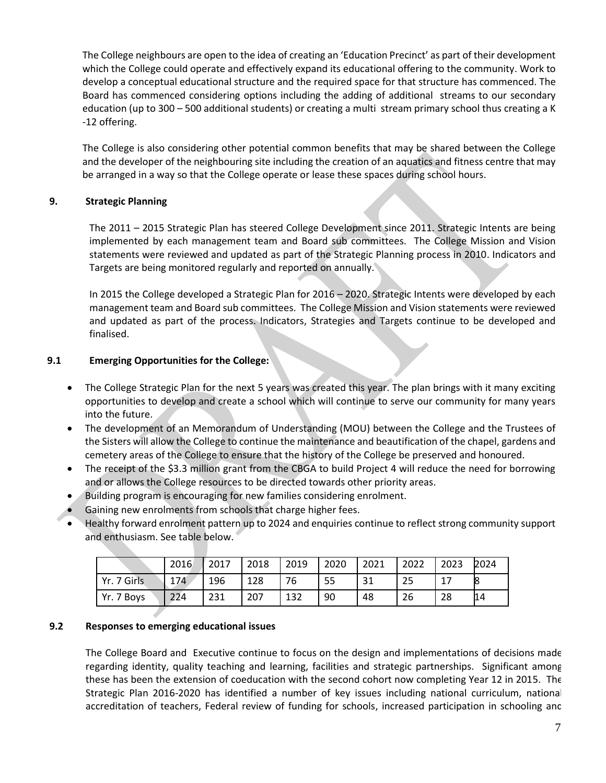The College neighbours are open to the idea of creating an 'Education Precinct' as part of their development which the College could operate and effectively expand its educational offering to the community. Work to develop a conceptual educational structure and the required space for that structure has commenced. The Board has commenced considering options including the adding of additional streams to our secondary education (up to 300 – 500 additional students) or creating a multi stream primary school thus creating a K -12 offering.

The College is also considering other potential common benefits that may be shared between the College and the developer of the neighbouring site including the creation of an aquatics and fitness centre that may be arranged in a way so that the College operate or lease these spaces during school hours.

# **9. Strategic Planning**

The 2011 – 2015 Strategic Plan has steered College Development since 2011. Strategic Intents are being implemented by each management team and Board sub committees. The College Mission and Vision statements were reviewed and updated as part of the Strategic Planning process in 2010. Indicators and Targets are being monitored regularly and reported on annually.

In 2015 the College developed a Strategic Plan for 2016 – 2020. Strategic Intents were developed by each management team and Board sub committees. The College Mission and Vision statements were reviewed and updated as part of the process. Indicators, Strategies and Targets continue to be developed and finalised.

# **9.1 Emerging Opportunities for the College:**

- The College Strategic Plan for the next 5 years was created this year. The plan brings with it many exciting opportunities to develop and create a school which will continue to serve our community for many years into the future.
- The development of an Memorandum of Understanding (MOU) between the College and the Trustees of the Sisters will allow the College to continue the maintenance and beautification of the chapel, gardens and cemetery areas of the College to ensure that the history of the College be preserved and honoured.
- The receipt of the \$3.3 million grant from the CBGA to build Project 4 will reduce the need for borrowing and or allows the College resources to be directed towards other priority areas.
- Building program is encouraging for new families considering enrolment.
- Gaining new enrolments from schools that charge higher fees.
- Healthy forward enrolment pattern up to 2024 and enquiries continue to reflect strong community support and enthusiasm. See table below.

|             | 2016 | 2017 | 2018 | 2019 | 2020 | 2021         | 2022 | 2023 | 2024 |
|-------------|------|------|------|------|------|--------------|------|------|------|
| Yr. 7 Girls | 174  | 196  | 128  | 76   | 55   | $\mathbf{C}$ | 25   |      | 18   |
| Yr. 7 Boys  | 224  | 231  | 207  | 132  | 90   | 48           | 26   | 28   | 14   |

#### **9.2 Responses to emerging educational issues**

The College Board and Executive continue to focus on the design and implementations of decisions made regarding identity, quality teaching and learning, facilities and strategic partnerships. Significant among these has been the extension of coeducation with the second cohort now completing Year 12 in 2015. The Strategic Plan 2016-2020 has identified a number of key issues including national curriculum, national accreditation of teachers, Federal review of funding for schools, increased participation in schooling and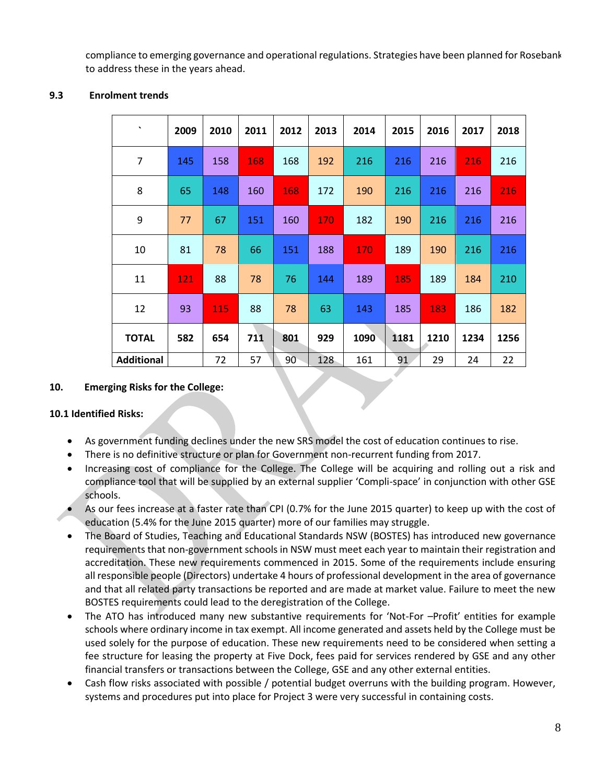compliance to emerging governance and operational regulations. Strategies have been planned for Rosebank to address these in the years ahead.

#### **9.3 Enrolment trends**

| $\tilde{\phantom{a}}$ | 2009       | 2010       | 2011 | 2012 | 2013       | 2014 | 2015 | 2016 | 2017 | 2018 |
|-----------------------|------------|------------|------|------|------------|------|------|------|------|------|
| $\overline{7}$        | 145        | 158        | 168  | 168  | 192        | 216  | 216  | 216  | 216  | 216  |
| 8                     | 65         | 148        | 160  | 168  | 172        | 190  | 216  | 216  | 216  | 216  |
| 9                     | 77         | 67         | 151  | 160  | <b>170</b> | 182  | 190  | 216  | 216  | 216  |
| 10                    | 81         | 78         | 66   | 151  | 188        | 170  | 189  | 190  | 216  | 216  |
| 11                    | <u>121</u> | 88         | 78   | 76   | 144        | 189  | 185  | 189  | 184  | 210  |
| 12                    | 93         | <b>115</b> | 88   | 78   | 63         | 143  | 185  | 183  | 186  | 182  |
| <b>TOTAL</b>          | 582        | 654        | 711  | 801  | 929        | 1090 | 1181 | 1210 | 1234 | 1256 |
| <b>Additional</b>     |            | 72         | 57   | 90   | 128        | 161  | 91   | 29   | 24   | 22   |

## **10. Emerging Risks for the College:**

#### **10.1 Identified Risks:**

- As government funding declines under the new SRS model the cost of education continues to rise.
- There is no definitive structure or plan for Government non-recurrent funding from 2017.
- Increasing cost of compliance for the College. The College will be acquiring and rolling out a risk and compliance tool that will be supplied by an external supplier 'Compli-space' in conjunction with other GSE schools.
- As our fees increase at a faster rate than CPI (0.7% for the June 2015 quarter) to keep up with the cost of education (5.4% for the June 2015 quarter) more of our families may struggle.
- The Board of Studies, Teaching and Educational Standards NSW (BOSTES) has introduced new governance requirements that non-government schools in NSW must meet each year to maintain their registration and accreditation. These new requirements commenced in 2015. Some of the requirements include ensuring all responsible people (Directors) undertake 4 hours of professional development in the area of governance and that all related party transactions be reported and are made at market value. Failure to meet the new BOSTES requirements could lead to the deregistration of the College.
- The ATO has introduced many new substantive requirements for 'Not-For –Profit' entities for example schools where ordinary income in tax exempt. All income generated and assets held by the College must be used solely for the purpose of education. These new requirements need to be considered when setting a fee structure for leasing the property at Five Dock, fees paid for services rendered by GSE and any other financial transfers or transactions between the College, GSE and any other external entities.
- Cash flow risks associated with possible / potential budget overruns with the building program. However, systems and procedures put into place for Project 3 were very successful in containing costs.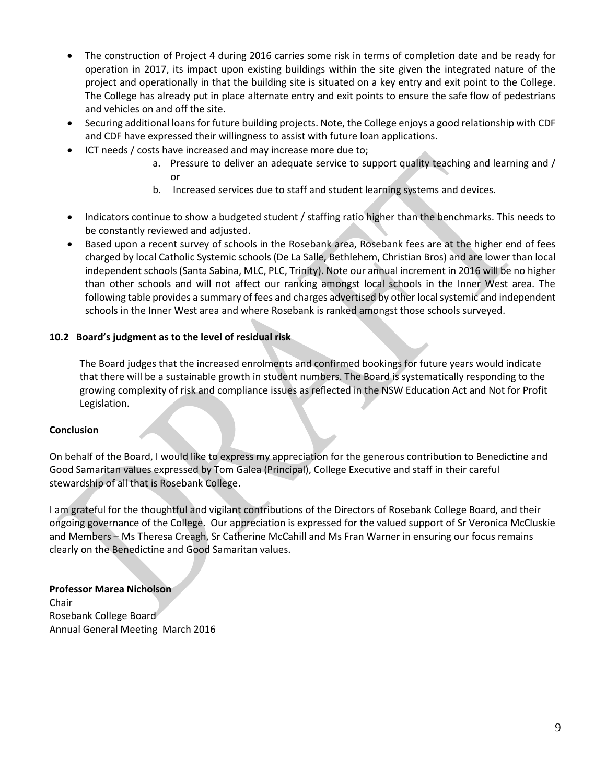- The construction of Project 4 during 2016 carries some risk in terms of completion date and be ready for operation in 2017, its impact upon existing buildings within the site given the integrated nature of the project and operationally in that the building site is situated on a key entry and exit point to the College. The College has already put in place alternate entry and exit points to ensure the safe flow of pedestrians and vehicles on and off the site.
- Securing additional loans for future building projects. Note, the College enjoys a good relationship with CDF and CDF have expressed their willingness to assist with future loan applications.
- ICT needs / costs have increased and may increase more due to;
	- a. Pressure to deliver an adequate service to support quality teaching and learning and / or
	- b. Increased services due to staff and student learning systems and devices.
- Indicators continue to show a budgeted student / staffing ratio higher than the benchmarks. This needs to be constantly reviewed and adjusted.
- Based upon a recent survey of schools in the Rosebank area, Rosebank fees are at the higher end of fees charged by local Catholic Systemic schools (De La Salle, Bethlehem, Christian Bros) and are lower than local independent schools (Santa Sabina, MLC, PLC, Trinity). Note our annual increment in 2016 will be no higher than other schools and will not affect our ranking amongst local schools in the Inner West area. The following table provides a summary of fees and charges advertised by other local systemic and independent schools in the Inner West area and where Rosebank is ranked amongst those schools surveyed.

# **10.2 Board's judgment as to the level of residual risk**

The Board judges that the increased enrolments and confirmed bookings for future years would indicate that there will be a sustainable growth in student numbers. The Board is systematically responding to the growing complexity of risk and compliance issues as reflected in the NSW Education Act and Not for Profit Legislation.

# **Conclusion**

On behalf of the Board, I would like to express my appreciation for the generous contribution to Benedictine and Good Samaritan values expressed by Tom Galea (Principal), College Executive and staff in their careful stewardship of all that is Rosebank College.

I am grateful for the thoughtful and vigilant contributions of the Directors of Rosebank College Board, and their ongoing governance of the College. Our appreciation is expressed for the valued support of Sr Veronica McCluskie and Members – Ms Theresa Creagh, Sr Catherine McCahill and Ms Fran Warner in ensuring our focus remains clearly on the Benedictine and Good Samaritan values.

**Professor Marea Nicholson** Chair Rosebank College Board Annual General Meeting March 2016